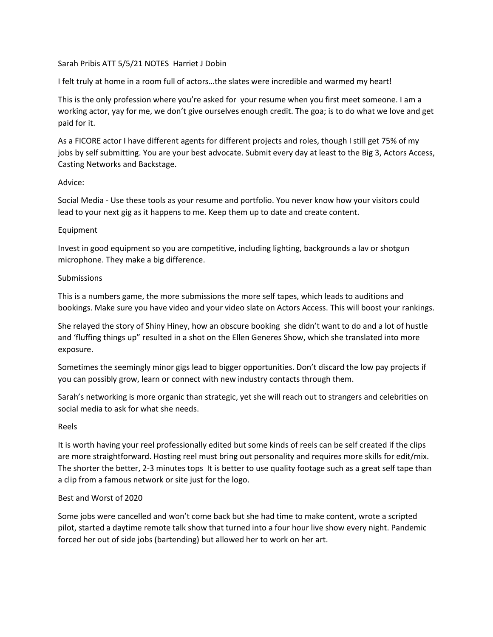## Sarah Pribis ATT 5/5/21 NOTES Harriet J Dobin

I felt truly at home in a room full of actors…the slates were incredible and warmed my heart!

This is the only profession where you're asked for your resume when you first meet someone. I am a working actor, yay for me, we don't give ourselves enough credit. The goa; is to do what we love and get paid for it.

As a FICORE actor I have different agents for different projects and roles, though I still get 75% of my jobs by self submitting. You are your best advocate. Submit every day at least to the Big 3, Actors Access, Casting Networks and Backstage.

#### Advice:

Social Media - Use these tools as your resume and portfolio. You never know how your visitors could lead to your next gig as it happens to me. Keep them up to date and create content.

#### Equipment

Invest in good equipment so you are competitive, including lighting, backgrounds a lav or shotgun microphone. They make a big difference.

#### Submissions

This is a numbers game, the more submissions the more self tapes, which leads to auditions and bookings. Make sure you have video and your video slate on Actors Access. This will boost your rankings.

She relayed the story of Shiny Hiney, how an obscure booking she didn't want to do and a lot of hustle and 'fluffing things up" resulted in a shot on the Ellen Generes Show, which she translated into more exposure.

Sometimes the seemingly minor gigs lead to bigger opportunities. Don't discard the low pay projects if you can possibly grow, learn or connect with new industry contacts through them.

Sarah's networking is more organic than strategic, yet she will reach out to strangers and celebrities on social media to ask for what she needs.

## Reels

It is worth having your reel professionally edited but some kinds of reels can be self created if the clips are more straightforward. Hosting reel must bring out personality and requires more skills for edit/mix. The shorter the better, 2-3 minutes tops It is better to use quality footage such as a great self tape than a clip from a famous network or site just for the logo.

## Best and Worst of 2020

Some jobs were cancelled and won't come back but she had time to make content, wrote a scripted pilot, started a daytime remote talk show that turned into a four hour live show every night. Pandemic forced her out of side jobs (bartending) but allowed her to work on her art.